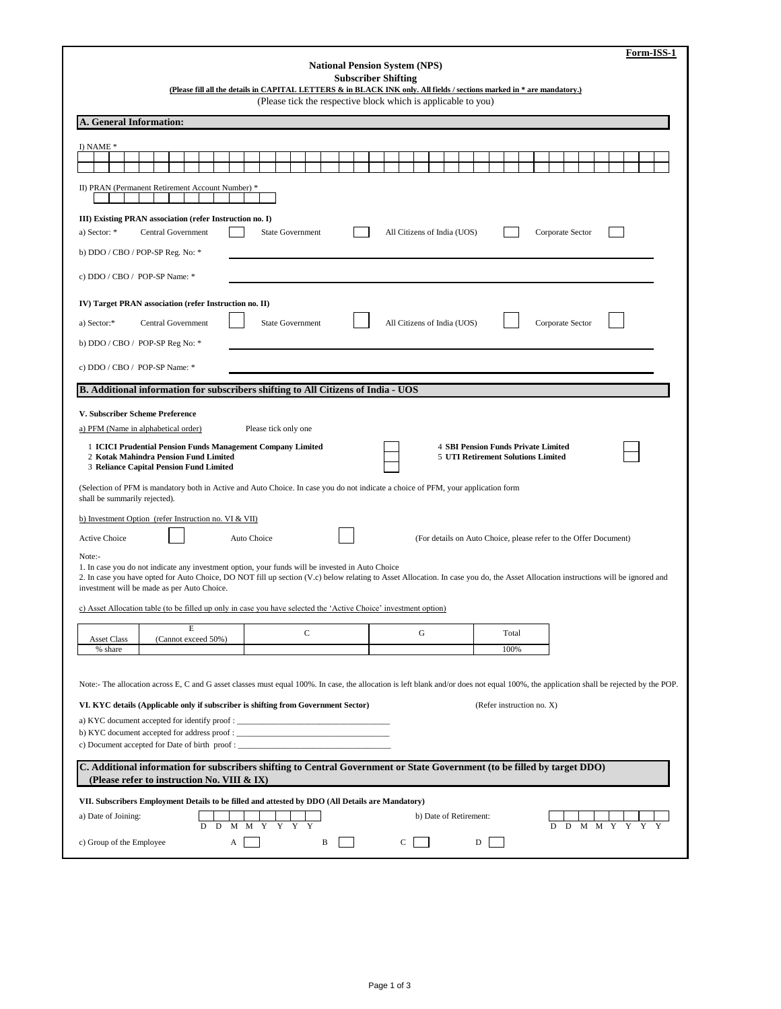| Form-ISS-1                                                                                                                                                                                                                       |  |  |  |  |  |  |  |  |  |  |
|----------------------------------------------------------------------------------------------------------------------------------------------------------------------------------------------------------------------------------|--|--|--|--|--|--|--|--|--|--|
| <b>National Pension System (NPS)</b><br><b>Subscriber Shifting</b>                                                                                                                                                               |  |  |  |  |  |  |  |  |  |  |
| (Please fill all the details in CAPITAL LETTERS & in BLACK INK only. All fields / sections marked in * are mandatory.)                                                                                                           |  |  |  |  |  |  |  |  |  |  |
| (Please tick the respective block which is applicable to you)                                                                                                                                                                    |  |  |  |  |  |  |  |  |  |  |
| A. General Information:                                                                                                                                                                                                          |  |  |  |  |  |  |  |  |  |  |
|                                                                                                                                                                                                                                  |  |  |  |  |  |  |  |  |  |  |
| I) NAME *                                                                                                                                                                                                                        |  |  |  |  |  |  |  |  |  |  |
| II) PRAN (Permanent Retirement Account Number) *                                                                                                                                                                                 |  |  |  |  |  |  |  |  |  |  |
| III) Existing PRAN association (refer Instruction no. I)                                                                                                                                                                         |  |  |  |  |  |  |  |  |  |  |
| <b>State Government</b><br>All Citizens of India (UOS)<br>Corporate Sector<br>a) Sector: *<br>Central Government                                                                                                                 |  |  |  |  |  |  |  |  |  |  |
| b) DDO / CBO / POP-SP Reg. No: *                                                                                                                                                                                                 |  |  |  |  |  |  |  |  |  |  |
|                                                                                                                                                                                                                                  |  |  |  |  |  |  |  |  |  |  |
| c) DDO / CBO / POP-SP Name: *                                                                                                                                                                                                    |  |  |  |  |  |  |  |  |  |  |
| IV) Target PRAN association (refer Instruction no. II)                                                                                                                                                                           |  |  |  |  |  |  |  |  |  |  |
| Central Government<br><b>State Government</b><br>All Citizens of India (UOS)<br>Corporate Sector<br>a) Sector:*                                                                                                                  |  |  |  |  |  |  |  |  |  |  |
|                                                                                                                                                                                                                                  |  |  |  |  |  |  |  |  |  |  |
| b) DDO / CBO / POP-SP Reg No: *                                                                                                                                                                                                  |  |  |  |  |  |  |  |  |  |  |
| c) DDO / CBO / POP-SP Name: *                                                                                                                                                                                                    |  |  |  |  |  |  |  |  |  |  |
| B. Additional information for subscribers shifting to All Citizens of India - UOS                                                                                                                                                |  |  |  |  |  |  |  |  |  |  |
|                                                                                                                                                                                                                                  |  |  |  |  |  |  |  |  |  |  |
| V. Subscriber Scheme Preference                                                                                                                                                                                                  |  |  |  |  |  |  |  |  |  |  |
| a) PFM (Name in alphabetical order)<br>Please tick only one                                                                                                                                                                      |  |  |  |  |  |  |  |  |  |  |
| 1 ICICI Prudential Pension Funds Management Company Limited<br><b>4 SBI Pension Funds Private Limited</b>                                                                                                                        |  |  |  |  |  |  |  |  |  |  |
| 2 Kotak Mahindra Pension Fund Limited<br>5 UTI Retirement Solutions Limited<br>3 Reliance Capital Pension Fund Limited                                                                                                           |  |  |  |  |  |  |  |  |  |  |
| (Selection of PFM is mandatory both in Active and Auto Choice. In case you do not indicate a choice of PFM, your application form<br>shall be summarily rejected).                                                               |  |  |  |  |  |  |  |  |  |  |
| b) Investment Option (refer Instruction no. VI & VII)                                                                                                                                                                            |  |  |  |  |  |  |  |  |  |  |
| <b>Active Choice</b><br>Auto Choice<br>(For details on Auto Choice, please refer to the Offer Document)                                                                                                                          |  |  |  |  |  |  |  |  |  |  |
| Note:-<br>1. In case you do not indicate any investment option, your funds will be invested in Auto Choice                                                                                                                       |  |  |  |  |  |  |  |  |  |  |
| 2. In case you have opted for Auto Choice, DO NOT fill up section (V.c) below relating to Asset Allocation. In case you do, the Asset Allocation instructions will be ignored and<br>investment will be made as per Auto Choice. |  |  |  |  |  |  |  |  |  |  |
| c) Asset Allocation table (to be filled up only in case you have selected the 'Active Choice' investment option)                                                                                                                 |  |  |  |  |  |  |  |  |  |  |
| E<br>C<br>G<br>Total                                                                                                                                                                                                             |  |  |  |  |  |  |  |  |  |  |
| <b>Asset Class</b><br>(Cannot exceed 50%)<br>100%<br>% share                                                                                                                                                                     |  |  |  |  |  |  |  |  |  |  |
|                                                                                                                                                                                                                                  |  |  |  |  |  |  |  |  |  |  |
| Note:- The allocation across E, C and G asset classes must equal 100%. In case, the allocation is left blank and/or does not equal 100%, the application shall be rejected by the POP.                                           |  |  |  |  |  |  |  |  |  |  |
| (Refer instruction no. X)<br>VI. KYC details (Applicable only if subscriber is shifting from Government Sector)                                                                                                                  |  |  |  |  |  |  |  |  |  |  |
| a) KYC document accepted for identify proof:                                                                                                                                                                                     |  |  |  |  |  |  |  |  |  |  |
| b) KYC document accepted for address proof : ____<br>c) Document accepted for Date of birth proof :                                                                                                                              |  |  |  |  |  |  |  |  |  |  |
|                                                                                                                                                                                                                                  |  |  |  |  |  |  |  |  |  |  |
| C. Additional information for subscribers shifting to Central Government or State Government (to be filled by target DDO)<br>(Please refer to instruction No. VIII & IX)                                                         |  |  |  |  |  |  |  |  |  |  |
| VII. Subscribers Employment Details to be filled and attested by DDO (All Details are Mandatory)                                                                                                                                 |  |  |  |  |  |  |  |  |  |  |
| a) Date of Joining:<br>b) Date of Retirement:<br>D<br>M<br>M<br>Y<br>D<br>D<br>D<br>M<br>М<br>Y                                                                                                                                  |  |  |  |  |  |  |  |  |  |  |
| c) Group of the Employee<br>B<br>C<br>А<br>D                                                                                                                                                                                     |  |  |  |  |  |  |  |  |  |  |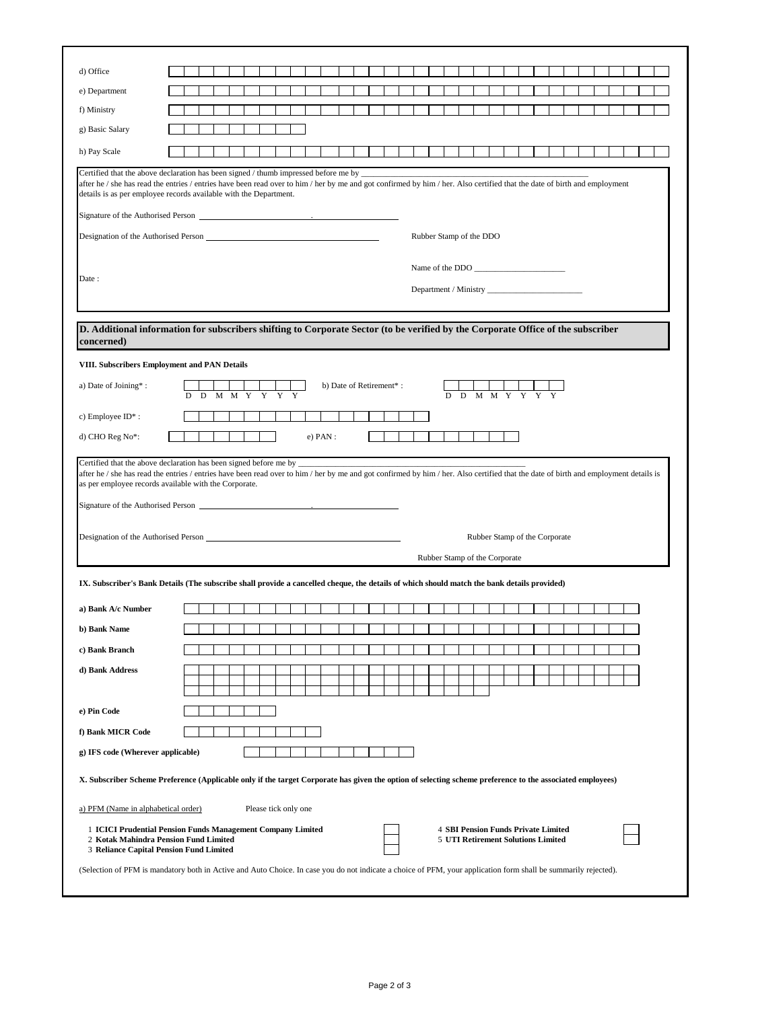| d) Office                                                                                                                                                                                                                                                                                                                                                                                                                                                                                                                                                                                                                                                                                                                                                                                                                                                                                                                                                                                                                 |  |   |  |                      |            |  |                         |  |                               |  |             |                                                                                         |  |  |  |  |  |
|---------------------------------------------------------------------------------------------------------------------------------------------------------------------------------------------------------------------------------------------------------------------------------------------------------------------------------------------------------------------------------------------------------------------------------------------------------------------------------------------------------------------------------------------------------------------------------------------------------------------------------------------------------------------------------------------------------------------------------------------------------------------------------------------------------------------------------------------------------------------------------------------------------------------------------------------------------------------------------------------------------------------------|--|---|--|----------------------|------------|--|-------------------------|--|-------------------------------|--|-------------|-----------------------------------------------------------------------------------------|--|--|--|--|--|
| e) Department                                                                                                                                                                                                                                                                                                                                                                                                                                                                                                                                                                                                                                                                                                                                                                                                                                                                                                                                                                                                             |  |   |  |                      |            |  |                         |  |                               |  |             |                                                                                         |  |  |  |  |  |
| f) Ministry                                                                                                                                                                                                                                                                                                                                                                                                                                                                                                                                                                                                                                                                                                                                                                                                                                                                                                                                                                                                               |  |   |  |                      |            |  |                         |  |                               |  |             |                                                                                         |  |  |  |  |  |
| g) Basic Salary                                                                                                                                                                                                                                                                                                                                                                                                                                                                                                                                                                                                                                                                                                                                                                                                                                                                                                                                                                                                           |  |   |  |                      |            |  |                         |  |                               |  |             |                                                                                         |  |  |  |  |  |
| h) Pay Scale                                                                                                                                                                                                                                                                                                                                                                                                                                                                                                                                                                                                                                                                                                                                                                                                                                                                                                                                                                                                              |  |   |  |                      |            |  |                         |  |                               |  |             |                                                                                         |  |  |  |  |  |
| Certified that the above declaration has been signed / thumb impressed before me by _                                                                                                                                                                                                                                                                                                                                                                                                                                                                                                                                                                                                                                                                                                                                                                                                                                                                                                                                     |  |   |  |                      |            |  |                         |  |                               |  |             |                                                                                         |  |  |  |  |  |
| after he / she has read the entries / entries have been read over to him / her by me and got confirmed by him / her. Also certified that the date of birth and employment<br>details is as per employee records available with the Department.                                                                                                                                                                                                                                                                                                                                                                                                                                                                                                                                                                                                                                                                                                                                                                            |  |   |  |                      |            |  |                         |  |                               |  |             |                                                                                         |  |  |  |  |  |
| Signature of the Authorised Person expansion of the Authorised Person                                                                                                                                                                                                                                                                                                                                                                                                                                                                                                                                                                                                                                                                                                                                                                                                                                                                                                                                                     |  |   |  |                      |            |  |                         |  |                               |  |             |                                                                                         |  |  |  |  |  |
| Designation of the Authorised Person                                                                                                                                                                                                                                                                                                                                                                                                                                                                                                                                                                                                                                                                                                                                                                                                                                                                                                                                                                                      |  |   |  |                      |            |  |                         |  | Rubber Stamp of the DDO       |  |             |                                                                                         |  |  |  |  |  |
|                                                                                                                                                                                                                                                                                                                                                                                                                                                                                                                                                                                                                                                                                                                                                                                                                                                                                                                                                                                                                           |  |   |  |                      |            |  |                         |  |                               |  |             |                                                                                         |  |  |  |  |  |
|                                                                                                                                                                                                                                                                                                                                                                                                                                                                                                                                                                                                                                                                                                                                                                                                                                                                                                                                                                                                                           |  |   |  |                      |            |  |                         |  |                               |  |             | Name of the DDO                                                                         |  |  |  |  |  |
| Date:                                                                                                                                                                                                                                                                                                                                                                                                                                                                                                                                                                                                                                                                                                                                                                                                                                                                                                                                                                                                                     |  |   |  |                      |            |  |                         |  |                               |  |             |                                                                                         |  |  |  |  |  |
|                                                                                                                                                                                                                                                                                                                                                                                                                                                                                                                                                                                                                                                                                                                                                                                                                                                                                                                                                                                                                           |  |   |  |                      |            |  |                         |  |                               |  |             |                                                                                         |  |  |  |  |  |
| D. Additional information for subscribers shifting to Corporate Sector (to be verified by the Corporate Office of the subscriber                                                                                                                                                                                                                                                                                                                                                                                                                                                                                                                                                                                                                                                                                                                                                                                                                                                                                          |  |   |  |                      |            |  |                         |  |                               |  |             |                                                                                         |  |  |  |  |  |
| concerned)                                                                                                                                                                                                                                                                                                                                                                                                                                                                                                                                                                                                                                                                                                                                                                                                                                                                                                                                                                                                                |  |   |  |                      |            |  |                         |  |                               |  |             |                                                                                         |  |  |  |  |  |
| VIII. Subscribers Employment and PAN Details                                                                                                                                                                                                                                                                                                                                                                                                                                                                                                                                                                                                                                                                                                                                                                                                                                                                                                                                                                              |  |   |  |                      |            |  |                         |  |                               |  |             |                                                                                         |  |  |  |  |  |
|                                                                                                                                                                                                                                                                                                                                                                                                                                                                                                                                                                                                                                                                                                                                                                                                                                                                                                                                                                                                                           |  |   |  |                      |            |  |                         |  |                               |  |             |                                                                                         |  |  |  |  |  |
| a) Date of Joining*:                                                                                                                                                                                                                                                                                                                                                                                                                                                                                                                                                                                                                                                                                                                                                                                                                                                                                                                                                                                                      |  | M |  |                      |            |  | b) Date of Retirement*: |  |                               |  | $M$ $M$ $Y$ |                                                                                         |  |  |  |  |  |
| c) Employee ID*:                                                                                                                                                                                                                                                                                                                                                                                                                                                                                                                                                                                                                                                                                                                                                                                                                                                                                                                                                                                                          |  |   |  |                      |            |  |                         |  |                               |  |             |                                                                                         |  |  |  |  |  |
| d) CHO Reg No*:                                                                                                                                                                                                                                                                                                                                                                                                                                                                                                                                                                                                                                                                                                                                                                                                                                                                                                                                                                                                           |  |   |  |                      | $e)$ PAN : |  |                         |  |                               |  |             |                                                                                         |  |  |  |  |  |
|                                                                                                                                                                                                                                                                                                                                                                                                                                                                                                                                                                                                                                                                                                                                                                                                                                                                                                                                                                                                                           |  |   |  |                      |            |  |                         |  |                               |  |             |                                                                                         |  |  |  |  |  |
|                                                                                                                                                                                                                                                                                                                                                                                                                                                                                                                                                                                                                                                                                                                                                                                                                                                                                                                                                                                                                           |  |   |  |                      |            |  |                         |  |                               |  |             |                                                                                         |  |  |  |  |  |
|                                                                                                                                                                                                                                                                                                                                                                                                                                                                                                                                                                                                                                                                                                                                                                                                                                                                                                                                                                                                                           |  |   |  |                      |            |  |                         |  |                               |  |             |                                                                                         |  |  |  |  |  |
|                                                                                                                                                                                                                                                                                                                                                                                                                                                                                                                                                                                                                                                                                                                                                                                                                                                                                                                                                                                                                           |  |   |  |                      |            |  |                         |  |                               |  |             |                                                                                         |  |  |  |  |  |
|                                                                                                                                                                                                                                                                                                                                                                                                                                                                                                                                                                                                                                                                                                                                                                                                                                                                                                                                                                                                                           |  |   |  |                      |            |  |                         |  |                               |  |             | Rubber Stamp of the Corporate                                                           |  |  |  |  |  |
|                                                                                                                                                                                                                                                                                                                                                                                                                                                                                                                                                                                                                                                                                                                                                                                                                                                                                                                                                                                                                           |  |   |  |                      |            |  |                         |  | Rubber Stamp of the Corporate |  |             |                                                                                         |  |  |  |  |  |
|                                                                                                                                                                                                                                                                                                                                                                                                                                                                                                                                                                                                                                                                                                                                                                                                                                                                                                                                                                                                                           |  |   |  |                      |            |  |                         |  |                               |  |             |                                                                                         |  |  |  |  |  |
|                                                                                                                                                                                                                                                                                                                                                                                                                                                                                                                                                                                                                                                                                                                                                                                                                                                                                                                                                                                                                           |  |   |  |                      |            |  |                         |  |                               |  |             |                                                                                         |  |  |  |  |  |
|                                                                                                                                                                                                                                                                                                                                                                                                                                                                                                                                                                                                                                                                                                                                                                                                                                                                                                                                                                                                                           |  |   |  |                      |            |  |                         |  |                               |  |             |                                                                                         |  |  |  |  |  |
|                                                                                                                                                                                                                                                                                                                                                                                                                                                                                                                                                                                                                                                                                                                                                                                                                                                                                                                                                                                                                           |  |   |  |                      |            |  |                         |  |                               |  |             |                                                                                         |  |  |  |  |  |
|                                                                                                                                                                                                                                                                                                                                                                                                                                                                                                                                                                                                                                                                                                                                                                                                                                                                                                                                                                                                                           |  |   |  |                      |            |  |                         |  |                               |  |             |                                                                                         |  |  |  |  |  |
|                                                                                                                                                                                                                                                                                                                                                                                                                                                                                                                                                                                                                                                                                                                                                                                                                                                                                                                                                                                                                           |  |   |  |                      |            |  |                         |  |                               |  |             |                                                                                         |  |  |  |  |  |
|                                                                                                                                                                                                                                                                                                                                                                                                                                                                                                                                                                                                                                                                                                                                                                                                                                                                                                                                                                                                                           |  |   |  |                      |            |  |                         |  |                               |  |             |                                                                                         |  |  |  |  |  |
|                                                                                                                                                                                                                                                                                                                                                                                                                                                                                                                                                                                                                                                                                                                                                                                                                                                                                                                                                                                                                           |  |   |  |                      |            |  |                         |  |                               |  |             |                                                                                         |  |  |  |  |  |
|                                                                                                                                                                                                                                                                                                                                                                                                                                                                                                                                                                                                                                                                                                                                                                                                                                                                                                                                                                                                                           |  |   |  |                      |            |  |                         |  |                               |  |             |                                                                                         |  |  |  |  |  |
|                                                                                                                                                                                                                                                                                                                                                                                                                                                                                                                                                                                                                                                                                                                                                                                                                                                                                                                                                                                                                           |  |   |  |                      |            |  |                         |  |                               |  |             |                                                                                         |  |  |  |  |  |
|                                                                                                                                                                                                                                                                                                                                                                                                                                                                                                                                                                                                                                                                                                                                                                                                                                                                                                                                                                                                                           |  |   |  |                      |            |  |                         |  |                               |  |             |                                                                                         |  |  |  |  |  |
|                                                                                                                                                                                                                                                                                                                                                                                                                                                                                                                                                                                                                                                                                                                                                                                                                                                                                                                                                                                                                           |  |   |  |                      |            |  |                         |  |                               |  |             |                                                                                         |  |  |  |  |  |
| Certified that the above declaration has been signed before me by<br>after he / she has read the entries / entries have been read over to him / her by me and got confirmed by him / her. Also certified that the date of birth and employment details is<br>as per employee records available with the Corporate.<br>Signature of the Authorised Person <u>contained</u> the state of the Authorised Person contained by the state of the Authorised Person contained by the state of the Authorised Person contained by the state of the Authorised Per<br>IX. Subscriber's Bank Details (The subscribe shall provide a cancelled cheque, the details of which should match the bank details provided)<br>a) Bank A/c Number<br>b) Bank Name<br>c) Bank Branch<br>d) Bank Address<br>e) Pin Code<br>f) Bank MICR Code<br>g) IFS code (Wherever applicable)<br>X. Subscriber Scheme Preference (Applicable only if the target Corporate has given the option of selecting scheme preference to the associated employees) |  |   |  |                      |            |  |                         |  |                               |  |             |                                                                                         |  |  |  |  |  |
| a) PFM (Name in alphabetical order)                                                                                                                                                                                                                                                                                                                                                                                                                                                                                                                                                                                                                                                                                                                                                                                                                                                                                                                                                                                       |  |   |  | Please tick only one |            |  |                         |  |                               |  |             |                                                                                         |  |  |  |  |  |
| 1 ICICI Prudential Pension Funds Management Company Limited<br>2 Kotak Mahindra Pension Fund Limited<br>3 Reliance Capital Pension Fund Limited                                                                                                                                                                                                                                                                                                                                                                                                                                                                                                                                                                                                                                                                                                                                                                                                                                                                           |  |   |  |                      |            |  |                         |  |                               |  |             | <b>4 SBI Pension Funds Private Limited</b><br><b>5 UTI Retirement Solutions Limited</b> |  |  |  |  |  |